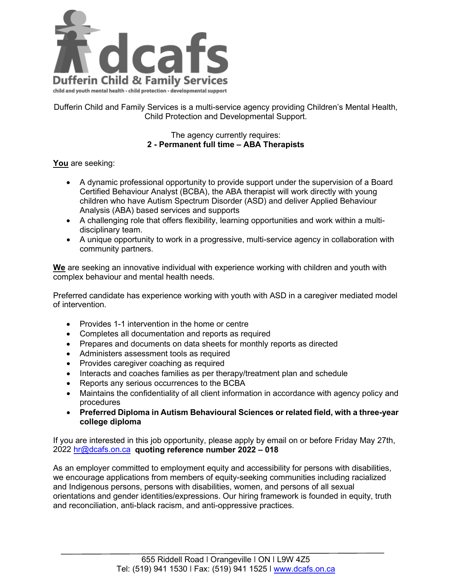

Dufferin Child and Family Services is a multi-service agency providing Children's Mental Health, Child Protection and Developmental Support.

## The agency currently requires: **2 - Permanent full time – ABA Therapists**

## **You** are seeking:

- A dynamic professional opportunity to provide support under the supervision of a Board Certified Behaviour Analyst (BCBA), the ABA therapist will work directly with young children who have Autism Spectrum Disorder (ASD) and deliver Applied Behaviour Analysis (ABA) based services and supports
- A challenging role that offers flexibility, learning opportunities and work within a multidisciplinary team.
- A unique opportunity to work in a progressive, multi-service agency in collaboration with community partners.

**We** are seeking an innovative individual with experience working with children and youth with complex behaviour and mental health needs.

Preferred candidate has experience working with youth with ASD in a caregiver mediated model of intervention.

- Provides 1-1 intervention in the home or centre
- Completes all documentation and reports as required
- Prepares and documents on data sheets for monthly reports as directed
- Administers assessment tools as required
- Provides caregiver coaching as required
- Interacts and coaches families as per therapy/treatment plan and schedule
- Reports any serious occurrences to the BCBA
- Maintains the confidentiality of all client information in accordance with agency policy and procedures
- **Preferred Diploma in Autism Behavioural Sciences or related field, with a three-year college diploma**

If you are interested in this job opportunity, please apply by email on or before Friday May 27th, 2022 [hr@dcafs.on.ca](mailto:hr@dcafs.on.ca) **quoting reference number 2022 – 018**

As an employer committed to employment equity and accessibility for persons with disabilities, we encourage applications from members of equity-seeking communities including racialized and Indigenous persons, persons with disabilities, women, and persons of all sexual orientations and gender identities/expressions. Our hiring framework is founded in equity, truth and reconciliation, anti-black racism, and anti-oppressive practices.